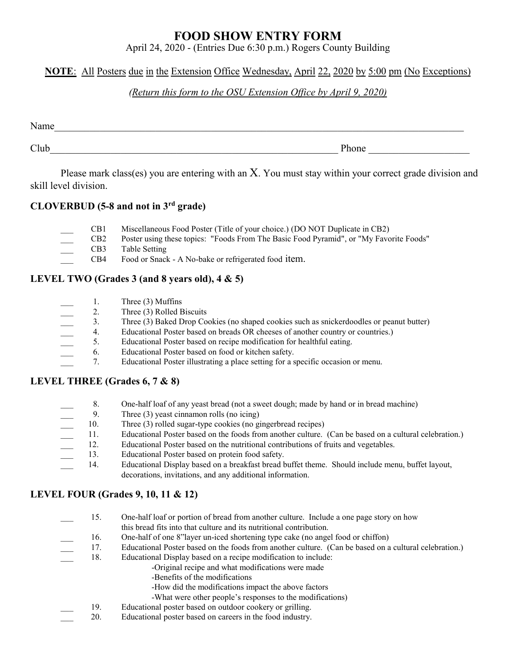## **FOOD SHOW ENTRY FORM**

April 24, 2020 - (Entries Due 6:30 p.m.) Rogers County Building

## **NOTE**: All Posters due in the Extension Office Wednesday, April 22, 2020 by 5:00 pm (No Exceptions)

## *(Return this form to the OSU Extension Office by April 9, 2020)*

| Name |       |
|------|-------|
| Club | Phone |

Please mark class(es) you are entering with an X. You must stay within your correct grade division and skill level division.

## **CLOVERBUD (5-8 and not in 3rd grade)**

- \_\_\_ CB1 Miscellaneous Food Poster (Title of your choice.) (DO NOT Duplicate in CB2)
	- \_\_\_ CB2 Poster using these topics: "Foods From The Basic Food Pyramid", or "My Favorite Foods"
- CB3 Table Setting
- CB4 Food or Snack A No-bake or refrigerated food item.

## **LEVEL TWO (Grades 3 (and 8 years old), 4 & 5)**

- 1. Three (3) Muffins
- 
- \_\_\_ 3. Three (3) Baked Drop Cookies (no shaped cookies such as snickerdoodles or peanut butter)
- 2. Three (3) Rolled Biscuits<br>
3. Three (3) Baked Drop Co<br>
4. Educational Poster based<br>
5. Educational Poster based<br>
6. Educational Poster based \_\_\_ 4. Educational Poster based on breads OR cheeses of another country or countries.)
- 5. Educational Poster based on recipe modification for healthful eating.
- \_\_\_ 6. Educational Poster based on food or kitchen safety.
- \_\_\_ 7. Educational Poster illustrating a place setting for a specific occasion or menu.

## **LEVEL THREE (Grades 6, 7 & 8)**

- \_\_\_ 8. One-half loaf of any yeast bread (not a sweet dough; made by hand or in bread machine)
- 
- 10. Three (3) rolled sugar-type cookies (no gingerbread recipes)
- \_\_\_ 11. Educational Poster based on the foods from another culture. (Can be based on a cultural celebration.)
- \_\_\_ 12. Educational Poster based on the nutritional contributions of fruits and vegetables.
- 9. Three (3) yeast cinnamon rolls (no icing)<br>10. Three (3) rolled sugar-type cookies (no g<br>11. Educational Poster based on the foods frc<br>12. Educational Poster based on the nutrition<br>13. Educational Poster based on protein 13. Educational Poster based on protein food safety.
- \_\_\_ 14. Educational Display based on a breakfast bread buffet theme. Should include menu, buffet layout, decorations, invitations, and any additional information.

## **LEVEL FOUR (Grades 9, 10, 11 & 12)**

- 15. One-half loaf or portion of bread from another culture. Include a one page story on how this bread fits into that culture and its nutritional contribution. 16. One-half of one 8"layer un-iced shortening type cake (no angel food or chiffon) 17. Educational Poster based on the foods from another culture. (Can be based on a cultural celebration.) 18. Educational Display based on a recipe modification to include:
	- -Original recipe and what modifications were made
		- -Benefits of the modifications
		- -How did the modifications impact the above factors
		- -What were other people's responses to the modifications)
- 19. Educational poster based on outdoor cookery or grilling.
- \_\_\_ 20. Educational poster based on careers in the food industry.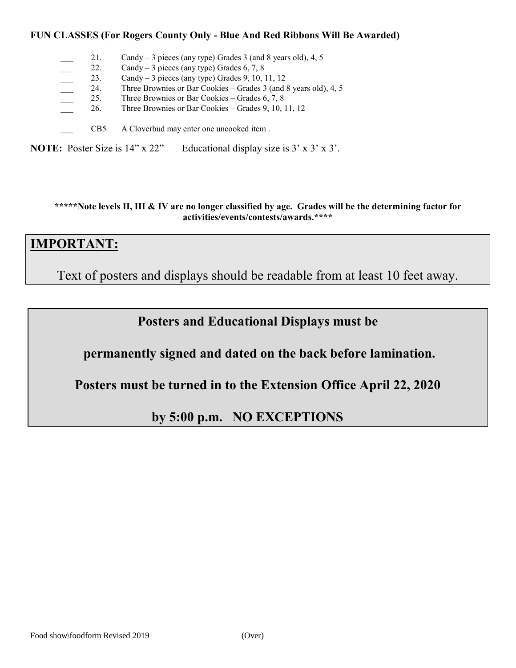### **FUN CLASSES (For Rogers County Only - Blue And Red Ribbons Will Be Awarded)**

|                                                                                                       |  | 21.             | Candy $-3$ pieces (any type) Grades 3 (and 8 years old), 4, 5    |
|-------------------------------------------------------------------------------------------------------|--|-----------------|------------------------------------------------------------------|
|                                                                                                       |  | 22.             | Candy – 3 pieces (any type) Grades 6, 7, 8                       |
|                                                                                                       |  | 23.             | Candy $-3$ pieces (any type) Grades 9, 10, 11, 12                |
|                                                                                                       |  | 24.             | Three Brownies or Bar Cookies – Grades 3 (and 8 years old), 4, 5 |
|                                                                                                       |  | 25.             | Three Brownies or Bar Cookies – Grades $6, 7, 8$                 |
|                                                                                                       |  | 26.             | Three Brownies or Bar Cookies – Grades 9, 10, 11, 12             |
|                                                                                                       |  | CB <sub>5</sub> | A Cloverbud may enter one uncooked item.                         |
| <b>NOTE:</b> Poster Size is $14$ " x $22$ "<br>Educational display size is $3' \times 3' \times 3'$ . |  |                 |                                                                  |

**\*\*\*\*\*Note levels II, III & IV are no longer classified by age. Grades will be the determining factor for activities/events/contests/awards.\*\*\*\***

# **IMPORTANT:**

Text of posters and displays should be readable from at least 10 feet away.

# **Posters and Educational Displays must be**

**permanently signed and dated on the back before lamination.**

**Posters must be turned in to the Extension Office April 22, 2020**

**by 5:00 p.m. NO EXCEPTIONS**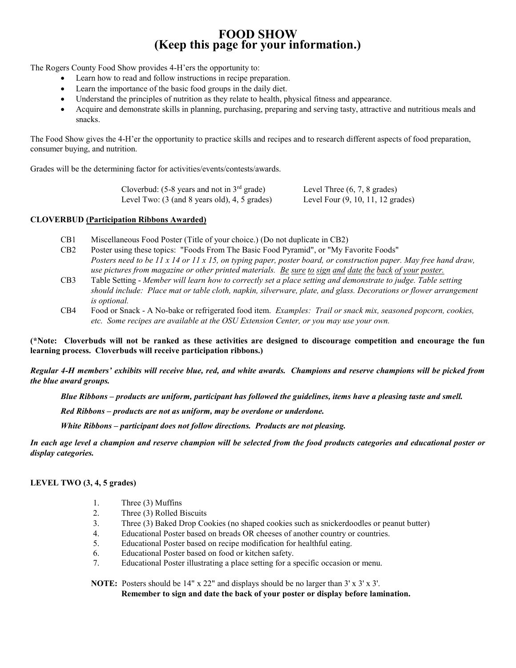## **FOOD SHOW (Keep this page for your information.)**

The Rogers County Food Show provides 4-H'ers the opportunity to:

- Learn how to read and follow instructions in recipe preparation.
- Learn the importance of the basic food groups in the daily diet.
- Understand the principles of nutrition as they relate to health, physical fitness and appearance.
- Acquire and demonstrate skills in planning, purchasing, preparing and serving tasty, attractive and nutritious meals and snacks.

The Food Show gives the 4-H'er the opportunity to practice skills and recipes and to research different aspects of food preparation, consumer buying, and nutrition.

Grades will be the determining factor for activities/events/contests/awards.

Cloverbud:  $(5-8 \text{ years and not in } 3^{\text{rd}} \text{ grade})$  Level Three  $(6, 7, 8 \text{ grades})$ Level Two: (3 (and 8 years old), 4, 5 grades) Level Four (9, 10, 11, 12 grades)

### **CLOVERBUD (Participation Ribbons Awarded)**

- CB1 Miscellaneous Food Poster (Title of your choice.) (Do not duplicate in CB2)
- CB2 Poster using these topics: "Foods From The Basic Food Pyramid", or "My Favorite Foods" *Posters need to be 11 x 14 or 11 x 15, on typing paper, poster board, or construction paper. May free hand draw, use pictures from magazine or other printed materials. Be sure to sign and date the back of your poster.*
- CB3 Table Setting *Member will learn how to correctly set a place setting and demonstrate to judge. Table setting should include: Place mat or table cloth, napkin, silverware, plate, and glass. Decorations or flower arrangement is optional.*
- CB4 Food or Snack A No-bake or refrigerated food item. *Examples: Trail or snack mix, seasoned popcorn, cookies, etc. Some recipes are available at the OSU Extension Center, or you may use your own.*

**(\*Note: Cloverbuds will not be ranked as these activities are designed to discourage competition and encourage the fun learning process. Cloverbuds will receive participation ribbons.)**

*Regular 4-H members' exhibits will receive blue, red, and white awards. Champions and reserve champions will be picked from the blue award groups.*

*Blue Ribbons – products are uniform, participant has followed the guidelines, items have a pleasing taste and smell.*

*Red Ribbons – products are not as uniform, may be overdone or underdone.*

*White Ribbons – participant does not follow directions. Products are not pleasing.*

*In each age level a champion and reserve champion will be selected from the food products categories and educational poster or display categories.*

### **LEVEL TWO (3, 4, 5 grades)**

- 1. Three (3) Muffins
- 2. Three (3) Rolled Biscuits
- 3. Three (3) Baked Drop Cookies (no shaped cookies such as snickerdoodles or peanut butter)
- 4. Educational Poster based on breads OR cheeses of another country or countries.
- 5. Educational Poster based on recipe modification for healthful eating.
- 6. Educational Poster based on food or kitchen safety.
- 7. Educational Poster illustrating a place setting for a specific occasion or menu.

**NOTE:** Posters should be 14" x 22" and displays should be no larger than 3' x 3' x 3'.

**Remember to sign and date the back of your poster or display before lamination.**